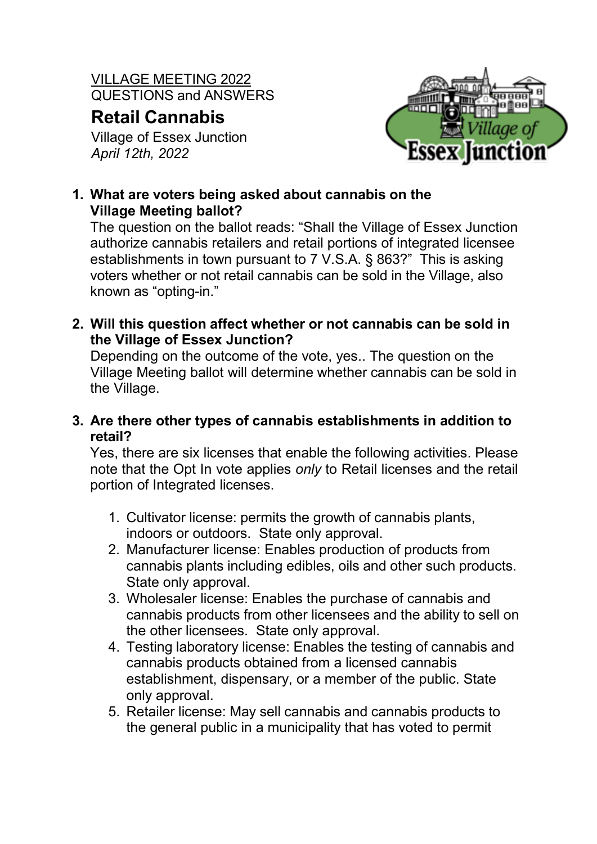VILLAGE MEETING 2022 QUESTIONS and ANSWERS

# **Retail Cannabis**

Village of Essex Junction *April 12th, 2022*



# **1. What are voters being asked about cannabis on the Village Meeting ballot?**

The question on the ballot reads: "Shall the Village of Essex Junction authorize cannabis retailers and retail portions of integrated licensee establishments in town pursuant to 7 V.S.A. § 863?" This is asking voters whether or not retail cannabis can be sold in the Village, also known as "opting-in."

**2. Will this question affect whether or not cannabis can be sold in the Village of Essex Junction?**

Depending on the outcome of the vote, yes.. The question on the Village Meeting ballot will determine whether cannabis can be sold in the Village.

**3. Are there other types of cannabis establishments in addition to retail?**

Yes, there are six licenses that enable the following activities. Please note that the Opt In vote applies *only* to Retail licenses and the retail portion of Integrated licenses.

- 1. Cultivator license: permits the growth of cannabis plants, indoors or outdoors. State only approval.
- 2. Manufacturer license: Enables production of products from cannabis plants including edibles, oils and other such products. State only approval.
- 3. Wholesaler license: Enables the purchase of cannabis and cannabis products from other licensees and the ability to sell on the other licensees. State only approval.
- 4. Testing laboratory license: Enables the testing of cannabis and cannabis products obtained from a licensed cannabis establishment, dispensary, or a member of the public. State only approval.
- 5. Retailer license: May sell cannabis and cannabis products to the general public in a municipality that has voted to permit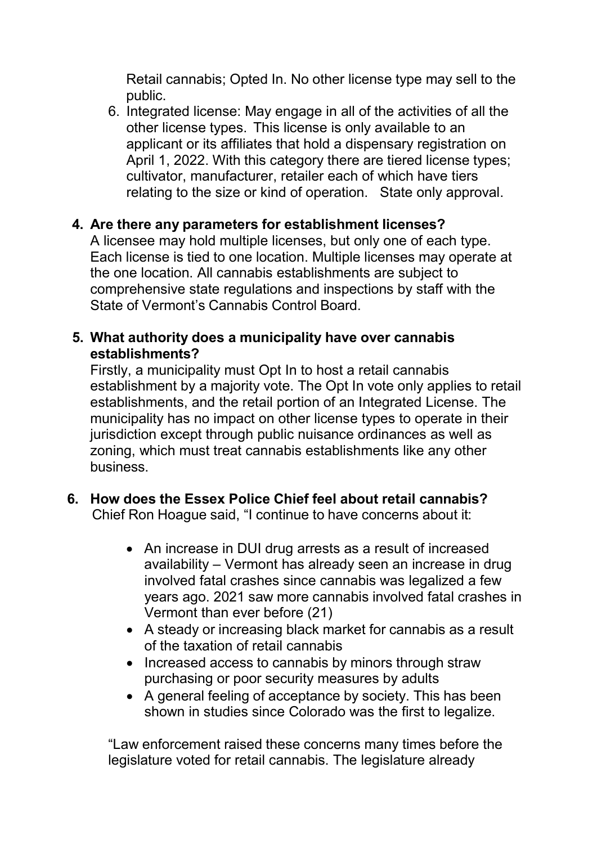Retail cannabis; Opted In. No other license type may sell to the public.

6. Integrated license: May engage in all of the activities of all the other license types. This license is only available to an applicant or its affiliates that hold a dispensary registration on April 1, 2022. With this category there are tiered license types; cultivator, manufacturer, retailer each of which have tiers relating to the size or kind of operation. State only approval.

## **4. Are there any parameters for establishment licenses?**

A licensee may hold multiple licenses, but only one of each type. Each license is tied to one location. Multiple licenses may operate at the one location. All cannabis establishments are subject to comprehensive state regulations and inspections by staff with the State of Vermont's Cannabis Control Board.

## **5. What authority does a municipality have over cannabis establishments?**

Firstly, a municipality must Opt In to host a retail cannabis establishment by a majority vote. The Opt In vote only applies to retail establishments, and the retail portion of an Integrated License. The municipality has no impact on other license types to operate in their jurisdiction except through public nuisance ordinances as well as zoning, which must treat cannabis establishments like any other business.

#### **6. How does the Essex Police Chief feel about retail cannabis?** Chief Ron Hoague said, "I continue to have concerns about it:

- An increase in DUI drug arrests as a result of increased availability – Vermont has already seen an increase in drug involved fatal crashes since cannabis was legalized a few years ago. 2021 saw more cannabis involved fatal crashes in Vermont than ever before (21)
- A steady or increasing black market for cannabis as a result of the taxation of retail cannabis
- Increased access to cannabis by minors through straw purchasing or poor security measures by adults
- A general feeling of acceptance by society. This has been shown in studies since Colorado was the first to legalize.

"Law enforcement raised these concerns many times before the legislature voted for retail cannabis. The legislature already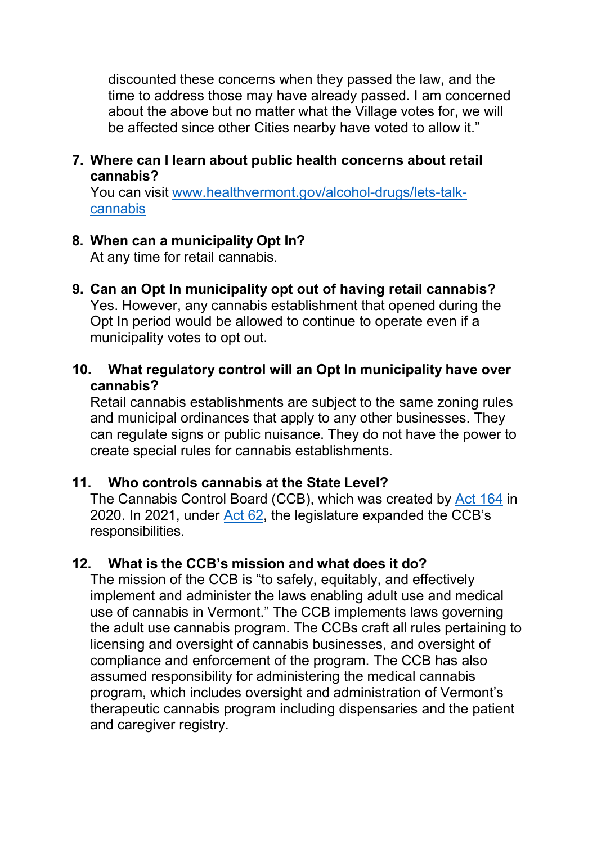discounted these concerns when they passed the law, and the time to address those may have already passed. I am concerned about the above but no matter what the Village votes for, we will be affected since other Cities nearby have voted to allow it."

#### **7. Where can I learn about public health concerns about retail cannabis?**

You can visit [www.healthvermont.gov/alcohol-drugs/lets-talk](http://www.healthvermont.gov/alcohol-drugs/lets-talk-cannabis)[cannabis](http://www.healthvermont.gov/alcohol-drugs/lets-talk-cannabis)

## **8. When can a municipality Opt In?**

At any time for retail cannabis.

- **9. Can an Opt In municipality opt out of having retail cannabis?**  Yes. However, any cannabis establishment that opened during the Opt In period would be allowed to continue to operate even if a municipality votes to opt out.
- **10. What regulatory control will an Opt In municipality have over cannabis?**

Retail cannabis establishments are subject to the same zoning rules and municipal ordinances that apply to any other businesses. They can regulate signs or public nuisance. They do not have the power to create special rules for cannabis establishments.

#### **11. Who controls cannabis at the State Level?**

The Cannabis Control Board (CCB), which was created by [Act 164](https://ccb.vermont.gov/sites/ccb/files/documents/ACT164%20As%20Enacted_1.pdf) in 2020. In 2021, under [Act 62,](https://ccb.vermont.gov/sites/ccb/files/2021-12/ACT062%20As%20Enacted.pdf) the legislature expanded the CCB's responsibilities.

# **12. What is the CCB's mission and what does it do?**

The mission of the CCB is "to safely, equitably, and effectively implement and administer the laws enabling adult use and medical use of cannabis in Vermont." The CCB implements laws governing the adult use cannabis program. The CCBs craft all rules pertaining to licensing and oversight of cannabis businesses, and oversight of compliance and enforcement of the program. The CCB has also assumed responsibility for administering the medical cannabis program, which includes oversight and administration of Vermont's therapeutic cannabis program including dispensaries and the patient and caregiver registry.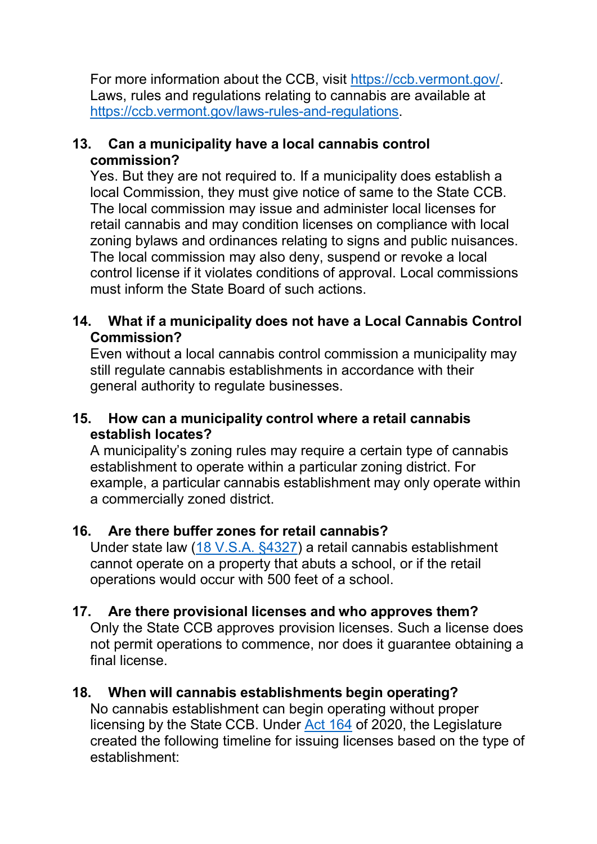For more information about the CCB, visit [https://ccb.vermont.gov/.](https://ccb.vermont.gov/) Laws, rules and regulations relating to cannabis are available at [https://ccb.vermont.gov/laws-rules-and-regulations.](https://ccb.vermont.gov/laws-rules-and-regulations)

## **13. Can a municipality have a local cannabis control commission?**

Yes. But they are not required to. If a municipality does establish a local Commission, they must give notice of same to the State CCB. The local commission may issue and administer local licenses for retail cannabis and may condition licenses on compliance with local zoning bylaws and ordinances relating to signs and public nuisances. The local commission may also deny, suspend or revoke a local control license if it violates conditions of approval. Local commissions must inform the State Board of such actions.

## **14. What if a municipality does not have a Local Cannabis Control Commission?**

Even without a local cannabis control commission a municipality may still regulate cannabis establishments in accordance with their general authority to regulate businesses.

#### **15. How can a municipality control where a retail cannabis establish locates?**

A municipality's zoning rules may require a certain type of cannabis establishment to operate within a particular zoning district. For example, a particular cannabis establishment may only operate within a commercially zoned district.

#### **16. Are there buffer zones for retail cannabis?**

Under state law [\(18 V.S.A. §4327\)](https://legislature.vermont.gov/statutes/section/18/084/04237) a retail cannabis establishment cannot operate on a property that abuts a school, or if the retail operations would occur with 500 feet of a school.

# **17. Are there provisional licenses and who approves them?**

Only the State CCB approves provision licenses. Such a license does not permit operations to commence, nor does it guarantee obtaining a final license.

# **18. When will cannabis establishments begin operating?**

No cannabis establishment can begin operating without proper licensing by the State CCB. Under Act [164](https://ccb.vermont.gov/sites/ccb/files/documents/ACT164%20As%20Enacted_1.pdf) of 2020, the Legislature created the following timeline for issuing licenses based on the type of establishment: